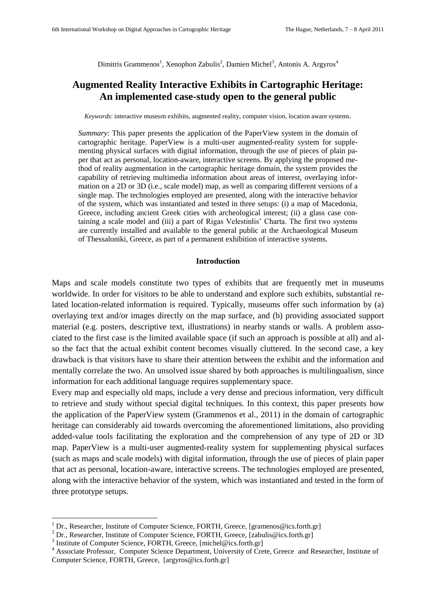Dimitris Grammenos<sup>1</sup>, Xenophon Zabulis<sup>2</sup>, Damien Michel<sup>3</sup>, Antonis A. Argyros<sup>4</sup>

# **Augmented Reality Interactive Exhibits in Cartographic Heritage: An implemented case-study open to the general public**

*Keywords*: interactive museum exhibits, augmented reality, computer vision, location aware systems.

*Summary*: This paper presents the application of the PaperView system in the domain of cartographic heritage. PaperView is a multi-user augmented-reality system for supplementing physical surfaces with digital information, through the use of pieces of plain paper that act as personal, location-aware, interactive screens. By applying the proposed method of reality augmentation in the cartographic heritage domain, the system provides the capability of retrieving multimedia information about areas of interest, overlaying information on a 2D or 3D (i.e., scale model) map, as well as comparing different versions of a single map. The technologies employed are presented, along with the interactive behavior of the system, which was instantiated and tested in three setups: (i) a map of Macedonia, Greece, including ancient Greek cities with archeological interest; (ii) a glass case containing a scale model and (iii) a part of Rigas Velestinlis" Charta. The first two systems are currently installed and available to the general public at the Archaeological Museum of Thessaloniki, Greece, as part of a permanent exhibition of interactive systems.

### **Introduction**

Maps and scale models constitute two types of exhibits that are frequently met in museums worldwide. In order for visitors to be able to understand and explore such exhibits, substantial related location-related information is required. Typically, museums offer such information by (a) overlaying text and/or images directly on the map surface, and (b) providing associated support material (e.g. posters, descriptive text, illustrations) in nearby stands or walls. A problem associated to the first case is the limited available space (if such an approach is possible at all) and also the fact that the actual exhibit content becomes visually cluttered. In the second case, a key drawback is that visitors have to share their attention between the exhibit and the information and mentally correlate the two. An unsolved issue shared by both approaches is multilingualism, since information for each additional language requires supplementary space.

Every map and especially old maps, include a very dense and precious information, very difficult to retrieve and study without special digital techniques. In this context, this paper presents how the application of the PaperView system (Grammenos et al., 2011) in the domain of cartographic heritage can considerably aid towards overcoming the aforementioned limitations, also providing added-value tools facilitating the exploration and the comprehension of any type of 2D or 3D map. PaperView is a multi-user augmented-reality system for supplementing physical surfaces (such as maps and scale models) with digital information, through the use of pieces of plain paper that act as personal, location-aware, interactive screens. The technologies employed are presented, along with the interactive behavior of the system, which was instantiated and tested in the form of three prototype setups.

 $\overline{a}$ 

<sup>&</sup>lt;sup>1</sup> Dr., Researcher, Institute of Computer Science, FORTH, Greece, [gramenos@ics.forth.gr]

<sup>&</sup>lt;sup>2</sup> Dr., Researcher, Institute of Computer Science, FORTH, Greece, [zabulis@ics.forth.gr]

<sup>&</sup>lt;sup>3</sup> Institute of Computer Science, FORTH, Greece, [michel@ics.forth.gr]

<sup>4</sup> Associate Professor, Computer Science Department, University of Crete, Greece and Researcher, Institute of Computer Science, FORTH, Greece, [argyros@ics.forth.gr]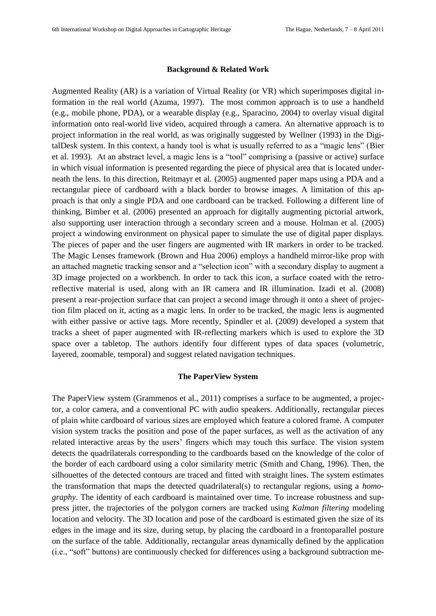#### **Background & Related Work**

Augmented Reality (AR) is a variation of Virtual Reality (or VR) which superimposes digital information in the real world (Azuma, 1997). The most common approach is to use a handheld (e.g., mobile phone, PDA), or a wearable display (e.g., Sparacino, 2004) to overlay visual digital information onto real-world live video, acquired through a camera. An alternative approach is to project information in the real world, as was originally suggested by Wellner (1993) in the DigitalDesk system. In this context, a handy tool is what is usually referred to as a "magic lens" (Bier et al. 1993). At an abstract level, a magic lens is a "tool" comprising a (passive or active) surface in which visual information is presented regarding the piece of physical area that is located underneath the lens. In this direction, Reitmayr et al. (2005) augmented paper maps using a PDA and a rectangular piece of cardboard with a black border to browse images. A limitation of this approach is that only a single PDA and one cardboard can be tracked. Following a different line of thinking, Bimber et al. (2006) presented an approach for digitally augmenting pictorial artwork, also supporting user interaction through a secondary screen and a mouse. Holman et al. (2005) project a windowing environment on physical paper to simulate the use of digital paper displays. The pieces of paper and the user fingers are augmented with IR markers in order to be tracked. The Magic Lenses framework (Brown and Hua 2006) employs a handheld mirror-like prop with an attached magnetic tracking sensor and a "selection icon" with a secondary display to augment a 3D image projected on a workbench. In order to tack this icon, a surface coated with the retroreflective material is used, along with an IR camera and IR illumination. Izadi et al. (2008) present a rear-projection surface that can project a second image through it onto a sheet of projection film placed on it, acting as a magic lens. In order to be tracked, the magic lens is augmented with either passive or active tags. More recently, Spindler et al. (2009) developed a system that tracks a sheet of paper augmented with IR-reflecting markers which is used to explore the 3D space over a tabletop. The authors identify four different types of data spaces (volumetric, layered, zoomable, temporal) and suggest related navigation techniques.

#### **The PaperView System**

The PaperView system (Grammenos et al., 2011) comprises a surface to be augmented, a projector, a color camera, and a conventional PC with audio speakers. Additionally, rectangular pieces of plain white cardboard of various sizes are employed which feature a colored frame. A computer vision system tracks the position and pose of the paper surfaces, as well as the activation of any related interactive areas by the users" fingers which may touch this surface. The vision system detects the quadrilaterals corresponding to the cardboards based on the knowledge of the color of the border of each cardboard using a color similarity metric (Smith and Chang, 1996). Then, the silhouettes of the detected contours are traced and fitted with straight lines. The system estimates the transformation that maps the detected quadrilateral(s) to rectangular regions, using a *homography*. The identity of each cardboard is maintained over time. To increase robustness and suppress jitter, the trajectories of the polygon corners are tracked using *Kalman filtering* modeling location and velocity. The 3D location and pose of the cardboard is estimated given the size of its edges in the image and its size, during setup, by placing the cardboard in a frontoparallel posture on the surface of the table. Additionally, rectangular areas dynamically defined by the application (i.e., "soft" buttons) are continuously checked for differences using a background subtraction me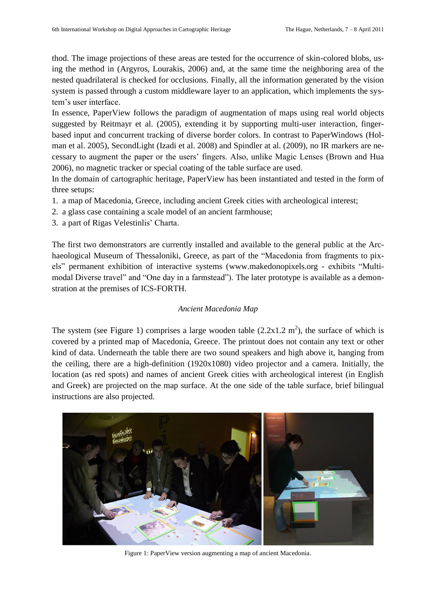thod. The image projections of these areas are tested for the occurrence of skin-colored blobs, using the method in (Argyros, Lourakis, 2006) and, at the same time the neighboring area of the nested quadrilateral is checked for occlusions. Finally, all the information generated by the vision system is passed through a custom middleware layer to an application, which implements the system"s user interface.

In essence, PaperView follows the paradigm of augmentation of maps using real world objects suggested by Reitmayr et al. (2005), extending it by supporting multi-user interaction, fingerbased input and concurrent tracking of diverse border colors. In contrast to PaperWindows (Holman et al. 2005), SecondLight (Izadi et al. 2008) and Spindler at al. (2009), no IR markers are necessary to augment the paper or the users" fingers. Also, unlike Magic Lenses (Brown and Hua 2006), no magnetic tracker or special coating of the table surface are used.

In the domain of cartographic heritage, PaperView has been instantiated and tested in the form of three setups:

- 1. a map of Macedonia, Greece, including ancient Greek cities with archeological interest;
- 2. a glass case containing a scale model of an ancient farmhouse;
- 3. a part of Rigas Velestinlis" Charta.

The first two demonstrators are currently installed and available to the general public at the Archaeological Museum of Thessaloniki, Greece, as part of the "Macedonia from fragments to pixels" permanent exhibition of interactive systems (www.makedonopixels.org - exhibits "Multimodal Diverse travel" and "One day in a farmstead"). The later prototype is available as a demonstration at the premises of ICS-FORTH.

# *Ancient Macedonia Map*

The system (see [Figure 1](#page-2-0)) comprises a large wooden table  $(2.2x1.2 \text{ m}^2)$ , the surface of which is covered by a printed map of Macedonia, Greece. The printout does not contain any text or other kind of data. Underneath the table there are two sound speakers and high above it, hanging from the ceiling, there are a high-definition (1920x1080) video projector and a camera. Initially, the location (as red spots) and names of ancient Greek cities with archeological interest (in English and Greek) are projected on the map surface. At the one side of the table surface, brief bilingual instructions are also projected.

<span id="page-2-0"></span>

Figure 1: PaperView version augmenting a map of ancient Macedonia.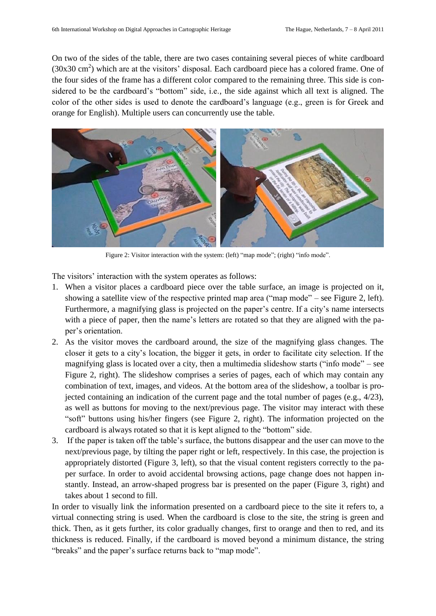On two of the sides of the table, there are two cases containing several pieces of white cardboard  $(30x30 \text{ cm}^2)$  which are at the visitors' disposal. Each cardboard piece has a colored frame. One of the four sides of the frame has a different color compared to the remaining three. This side is considered to be the cardboard's "bottom" side, i.e., the side against which all text is aligned. The color of the other sides is used to denote the cardboard"s language (e.g., green is for Greek and orange for English). Multiple users can concurrently use the table.



Figure 2: Visitor interaction with the system: (left) "map mode"; (right) "info mode".

<span id="page-3-0"></span>The visitors' interaction with the system operates as follows:

- 1. When a visitor places a cardboard piece over the table surface, an image is projected on it, showing a satellite view of the respective printed map area ("map mode" – see [Figure 2](#page-3-0), left). Furthermore, a magnifying glass is projected on the paper's centre. If a city's name intersects with a piece of paper, then the name's letters are rotated so that they are aligned with the paper"s orientation.
- 2. As the visitor moves the cardboard around, the size of the magnifying glass changes. The closer it gets to a city"s location, the bigger it gets, in order to facilitate city selection. If the magnifying glass is located over a city, then a multimedia slideshow starts ("info mode" – see [Figure 2,](#page-3-0) right). The slideshow comprises a series of pages, each of which may contain any combination of text, images, and videos. At the bottom area of the slideshow, a toolbar is projected containing an indication of the current page and the total number of pages (e.g., 4/23), as well as buttons for moving to the next/previous page. The visitor may interact with these "soft" buttons using his/her fingers (see [Figure 2,](#page-3-0) right). The information projected on the cardboard is always rotated so that it is kept aligned to the "bottom" side.
- 3. If the paper is taken off the table"s surface, the buttons disappear and the user can move to the next/previous page, by tilting the paper right or left, respectively. In this case, the projection is appropriately distorted [\(Figure 3,](#page-4-0) left), so that the visual content registers correctly to the paper surface. In order to avoid accidental browsing actions, page change does not happen instantly. Instead, an arrow-shaped progress bar is presented on the paper [\(Figure 3,](#page-4-0) right) and takes about 1 second to fill.

In order to visually link the information presented on a cardboard piece to the site it refers to, a virtual connecting string is used. When the cardboard is close to the site, the string is green and thick. Then, as it gets further, its color gradually changes, first to orange and then to red, and its thickness is reduced. Finally, if the cardboard is moved beyond a minimum distance, the string "breaks" and the paper's surface returns back to "map mode".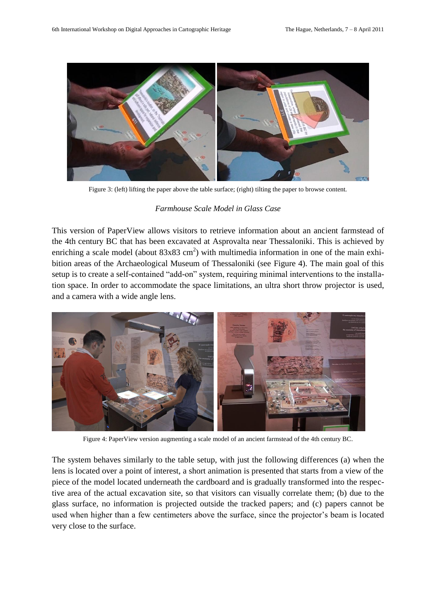

Figure 3: (left) lifting the paper above the table surface; (right) tilting the paper to browse content.

## *Farmhouse Scale Model in Glass Case*

<span id="page-4-0"></span>This version of PaperView allows visitors to retrieve information about an ancient farmstead of the 4th century BC that has been excavated at Asprovalta near Thessaloniki. This is achieved by enriching a scale model (about  $83x83$  cm<sup>2</sup>) with multimedia information in one of the main exhibition areas of the Archaeological Museum of Thessaloniki (see [Figure 4\)](#page-4-1). The main goal of this setup is to create a self-contained "add-on" system, requiring minimal interventions to the installation space. In order to accommodate the space limitations, an ultra short throw projector is used, and a camera with a wide angle lens.



Figure 4: PaperView version augmenting a scale model of an ancient farmstead of the 4th century BC.

<span id="page-4-1"></span>The system behaves similarly to the table setup, with just the following differences (a) when the lens is located over a point of interest, a short animation is presented that starts from a view of the piece of the model located underneath the cardboard and is gradually transformed into the respective area of the actual excavation site, so that visitors can visually correlate them; (b) due to the glass surface, no information is projected outside the tracked papers; and (c) papers cannot be used when higher than a few centimeters above the surface, since the projector"s beam is located very close to the surface.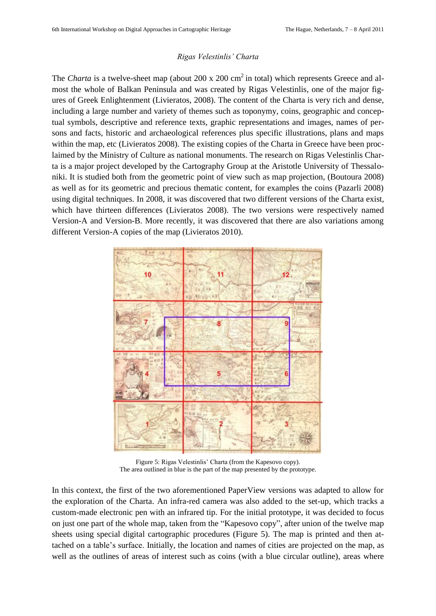#### *Rigas Velestinlis' Charta*

The *Charta* is a twelve-sheet map (about 200 x 200 cm<sup>2</sup> in total) which represents Greece and almost the whole of Balkan Peninsula and was created by Rigas Velestinlis, one of the major figures of Greek Enlightenment (Livieratos, 2008). The content of the Charta is very rich and dense, including a large number and variety of themes such as toponymy, coins, geographic and conceptual symbols, descriptive and reference texts, graphic representations and images, names of persons and facts, historic and archaeological references plus specific illustrations, plans and maps within the map, etc (Livieratos 2008). The existing copies of the Charta in Greece have been proclaimed by the Ministry of Culture as national monuments. The research on Rigas Velestinlis Charta is a major project developed by the Cartography Group at the Aristotle University of Thessaloniki. It is studied both from the geometric point of view such as map projection, (Boutoura 2008) as well as for its geometric and precious thematic content, for examples the coins (Pazarli 2008) using digital techniques. In 2008, it was discovered that two different versions of the Charta exist, which have thirteen differences (Livieratos 2008). The two versions were respectively named Version-A and Version-B. More recently, it was discovered that there are also variations among different Version-A copies of the map (Livieratos 2010).



Figure 5: Rigas Velestinlis' Charta (from the Kapesovo copy). The area outlined in blue is the part of the map presented by the prototype.

<span id="page-5-0"></span>In this context, the first of the two aforementioned PaperView versions was adapted to allow for the exploration of the Charta. An infra-red camera was also added to the set-up, which tracks a custom-made electronic pen with an infrared tip. For the initial prototype, it was decided to focus on just one part of the whole map, taken from the "Kapesovo copy", after union of the twelve map sheets using special digital cartographic procedures [\(Figure 5\)](#page-5-0). The map is printed and then attached on a table"s surface. Initially, the location and names of cities are projected on the map, as well as the outlines of areas of interest such as coins (with a blue circular outline), areas where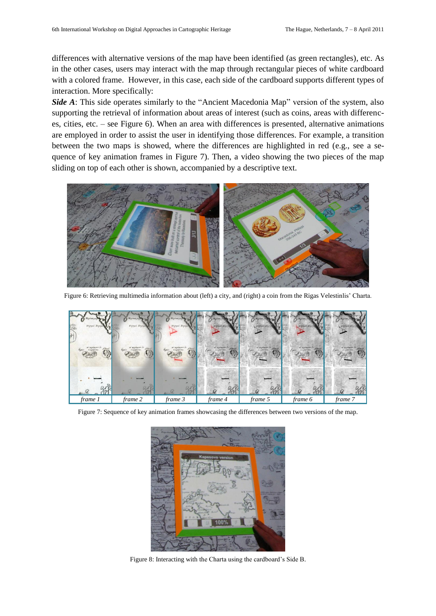differences with alternative versions of the map have been identified (as green rectangles), etc. As in the other cases, users may interact with the map through rectangular pieces of white cardboard with a colored frame. However, in this case, each side of the cardboard supports different types of interaction. More specifically:

*Side A*: This side operates similarly to the "Ancient Macedonia Map" version of the system, also supporting the retrieval of information about areas of interest (such as coins, areas with differences, cities, etc. – see [Figure 6\)](#page-6-0). When an area with differences is presented, alternative animations are employed in order to assist the user in identifying those differences. For example, a transition between the two maps is showed, where the differences are highlighted in red (e.g., see a sequence of key animation frames in [Figure 7\)](#page-6-1). Then, a video showing the two pieces of the map sliding on top of each other is shown, accompanied by a descriptive text.



Figure 6: Retrieving multimedia information about (left) a city, and (right) a coin from the Rigas Velestinlis" Charta.

<span id="page-6-0"></span>

<span id="page-6-2"></span><span id="page-6-1"></span>Figure 7: Sequence of key animation frames showcasing the differences between two versions of the map.



Figure 8: Interacting with the Charta using the cardboard"s Side B.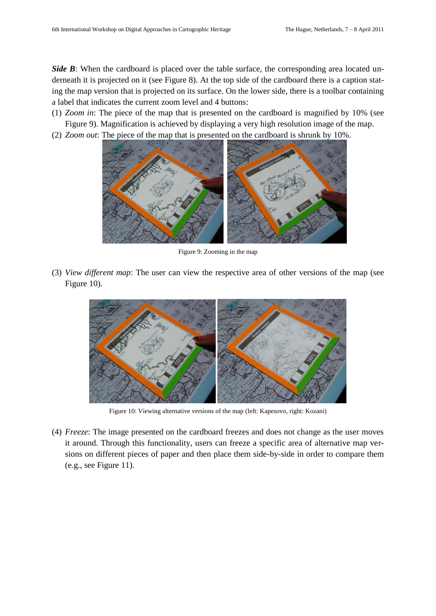*Side B*: When the cardboard is placed over the table surface, the corresponding area located underneath it is projected on it (see [Figure 8\)](#page-6-2). At the top side of the cardboard there is a caption stating the map version that is projected on its surface. On the lower side, there is a toolbar containing a label that indicates the current zoom level and 4 buttons:

(1) *Zoom in*: The piece of the map that is presented on the cardboard is magnified by 10% (see [Figure 9\)](#page-7-0). Magnification is achieved by displaying a very high resolution image of the map.

(2) *Zoom out*: The piece of the map that is presented on the cardboard is shrunk by 10%.



Figure 9: Zooming in the map

<span id="page-7-0"></span>(3) *View different map*: The user can view the respective area of other versions of the map (see [Figure 10\)](#page-7-1).



Figure 10: Viewing alternative versions of the map (left: Kapesovo, right: Kozani)

<span id="page-7-1"></span>(4) *Freeze*: The image presented on the cardboard freezes and does not change as the user moves it around. Through this functionality, users can freeze a specific area of alternative map versions on different pieces of paper and then place them side-by-side in order to compare them (e.g., see [Figure 11\)](#page-8-0).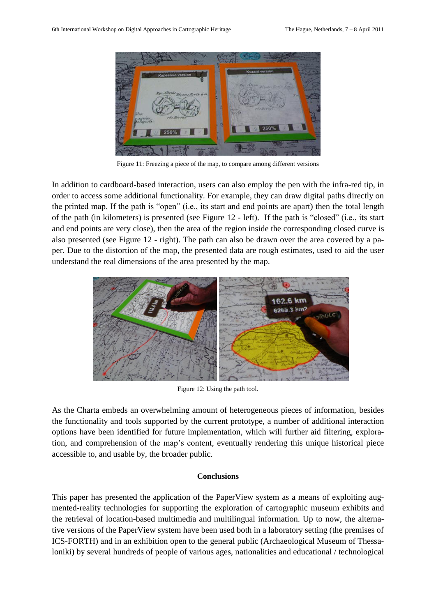

Figure 11: Freezing a piece of the map, to compare among different versions

<span id="page-8-0"></span>In addition to cardboard-based interaction, users can also employ the pen with the infra-red tip, in order to access some additional functionality. For example, they can draw digital paths directly on the printed map. If the path is "open" (i.e., its start and end points are apart) then the total length of the path (in kilometers) is presented (see [Figure 12](#page-8-1) - left). If the path is "closed" (i.e., its start and end points are very close), then the area of the region inside the corresponding closed curve is also presented (see [Figure 12](#page-8-1) - right). The path can also be drawn over the area covered by a paper. Due to the distortion of the map, the presented data are rough estimates, used to aid the user understand the real dimensions of the area presented by the map.



Figure 12: Using the path tool.

<span id="page-8-1"></span>As the Charta embeds an overwhelming amount of heterogeneous pieces of information, besides the functionality and tools supported by the current prototype, a number of additional interaction options have been identified for future implementation, which will further aid filtering, exploration, and comprehension of the map"s content, eventually rendering this unique historical piece accessible to, and usable by, the broader public.

#### **Conclusions**

This paper has presented the application of the PaperView system as a means of exploiting augmented-reality technologies for supporting the exploration of cartographic museum exhibits and the retrieval of location-based multimedia and multilingual information. Up to now, the alternative versions of the PaperView system have been used both in a laboratory setting (the premises of ICS-FORTH) and in an exhibition open to the general public (Archaeological Museum of Thessaloniki) by several hundreds of people of various ages, nationalities and educational / technological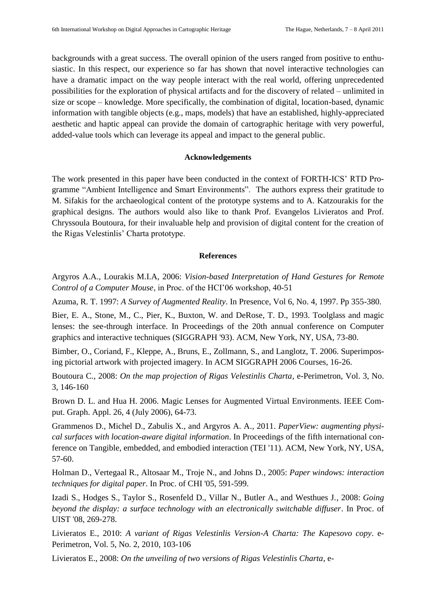backgrounds with a great success. The overall opinion of the users ranged from positive to enthusiastic. In this respect, our experience so far has shown that novel interactive technologies can have a dramatic impact on the way people interact with the real world, offering unprecedented possibilities for the exploration of physical artifacts and for the discovery of related – unlimited in size or scope – knowledge. More specifically, the combination of digital, location-based, dynamic information with tangible objects (e.g., maps, models) that have an established, highly-appreciated aesthetic and haptic appeal can provide the domain of cartographic heritage with very powerful, added-value tools which can leverage its appeal and impact to the general public.

# **Acknowledgements**

The work presented in this paper have been conducted in the context of FORTH-ICS" RTD Programme "Ambient Intelligence and Smart Environments". The authors express their gratitude to M. Sifakis for the archaeological content of the prototype systems and to A. Katzourakis for the graphical designs. The authors would also like to thank Prof. Evangelos Livieratos and Prof. Chryssoula Boutoura, for their invaluable help and provision of digital content for the creation of the Rigas Velestinlis" Charta prototype.

## **References**

Argyros A.A., Lourakis M.I.A, 2006: *Vision-based Interpretation of Hand Gestures for Remote Control of a Computer Mouse*, in Proc. of the HCI"06 workshop, 40-51

Azuma, R. T. 1997: *A Survey of Augmented Reality*. In Presence, Vol 6, No. 4, 1997. Pp 355-380.

Bier, E. A., Stone, M., C., Pier, K., Buxton, W. and DeRose, T. D., 1993. Toolglass and magic lenses: the see-through interface. In Proceedings of the 20th annual conference on Computer graphics and interactive techniques (SIGGRAPH '93). ACM, New York, NY, USA, 73-80.

Bimber, O., Coriand, F., Kleppe, A., Bruns, E., Zollmann, S., and Langlotz, T. 2006. Superimposing pictorial artwork with projected imagery. In ACM SIGGRAPH 2006 Courses, 16-26.

Boutoura C., 2008: *On the map projection of Rigas Velestinlis Charta*, e-Perimetron, Vol. 3, No. 3, 146-160

Brown D. L. and Hua H. 2006. Magic Lenses for Augmented Virtual Environments. IEEE Comput. Graph. Appl. 26, 4 (July 2006), 64-73.

Grammenos D., Michel D., Zabulis X., and Argyros A. A., 2011. *PaperView: augmenting physical surfaces with location-aware digital information*. In Proceedings of the fifth international conference on Tangible, embedded, and embodied interaction (TEI '11). ACM, New York, NY, USA, 57-60.

Holman D., Vertegaal R., Altosaar M., Troje N., and Johns D., 2005: *Paper windows: interaction techniques for digital paper*. In Proc. of CHI '05, 591-599.

Izadi S., Hodges S., Taylor S., Rosenfeld D., Villar N., Butler A., and Westhues J., 2008: *Going beyond the display: a surface technology with an electronically switchable diffuser*. In Proc. of UIST '08, 269-278.

Livieratos E., 2010: *A variant of Rigas Velestinlis Version-A Charta: The Kapesovo copy*. e-Perimetron, Vol. 5, No. 2, 2010, 103-106

Livieratos E., 2008: *On the unveiling of two versions of Rigas Velestinlis Charta*, e-